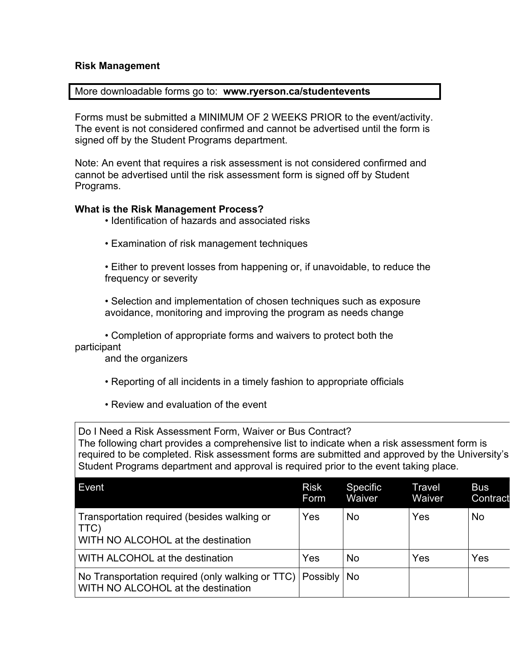## **Risk Management**

## More downloadable forms go to: **www.ryerson.ca/studentevents**

Forms must be submitted a MINIMUM OF 2 WEEKS PRIOR to the event/activity. The event is not considered confirmed and cannot be advertised until the form is signed off by the Student Programs department.

Note: An event that requires a risk assessment is not considered confirmed and cannot be advertised until the risk assessment form is signed off by Student Programs.

## **What is the Risk Management Process?**

- Identification of hazards and associated risks
- Examination of risk management techniques

• Either to prevent losses from happening or, if unavoidable, to reduce the frequency or severity

• Selection and implementation of chosen techniques such as exposure avoidance, monitoring and improving the program as needs change

• Completion of appropriate forms and waivers to protect both the participant

and the organizers

- Reporting of all incidents in a timely fashion to appropriate officials
- Review and evaluation of the event

Do I Need a Risk Assessment Form, Waiver or Bus Contract? The following chart provides a comprehensive list to indicate when a risk assessment form is required to be completed. Risk assessment forms are submitted and approved by the University's Student Programs department and approval is required prior to the event taking place.

| Event                                                                                     | <b>Risk</b><br>Form | <b>Specific</b><br>Waiver | Travel<br>Waiver | <b>Bus</b><br>Contract |
|-------------------------------------------------------------------------------------------|---------------------|---------------------------|------------------|------------------------|
| Transportation required (besides walking or<br>TTC)<br>WITH NO ALCOHOL at the destination | Yes                 | No                        | Yes              | <b>No</b>              |
| WITH ALCOHOL at the destination                                                           | Yes                 | No                        | Yes              | Yes                    |
| No Transportation required (only walking or TTC)<br>WITH NO ALCOHOL at the destination    | Possibly   No       |                           |                  |                        |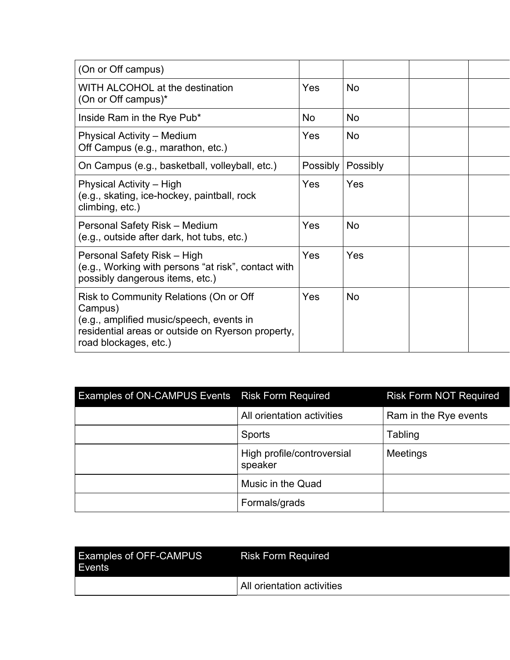| (On or Off campus)                                                                                                                                                          |                 |           |  |
|-----------------------------------------------------------------------------------------------------------------------------------------------------------------------------|-----------------|-----------|--|
| WITH ALCOHOL at the destination<br>(On or Off campus)*                                                                                                                      | Yes             | <b>No</b> |  |
| Inside Ram in the Rye Pub*                                                                                                                                                  | No              | <b>No</b> |  |
| <b>Physical Activity - Medium</b><br>Off Campus (e.g., marathon, etc.)                                                                                                      | Yes             | <b>No</b> |  |
| On Campus (e.g., basketball, volleyball, etc.)                                                                                                                              | <b>Possibly</b> | Possibly  |  |
| Physical Activity – High<br>(e.g., skating, ice-hockey, paintball, rock<br>climbing, etc.)                                                                                  | Yes             | Yes       |  |
| Personal Safety Risk - Medium<br>(e.g., outside after dark, hot tubs, etc.)                                                                                                 | Yes             | <b>No</b> |  |
| Personal Safety Risk - High<br>(e.g., Working with persons "at risk", contact with<br>possibly dangerous items, etc.)                                                       | Yes             | Yes       |  |
| Risk to Community Relations (On or Off<br>Campus)<br>(e.g., amplified music/speech, events in<br>residential areas or outside on Ryerson property,<br>road blockages, etc.) | Yes             | <b>No</b> |  |

| <b>Examples of ON-CAMPUS Events</b> | <b>Risk Form Required</b>             | <b>Risk Form NOT Required</b> |
|-------------------------------------|---------------------------------------|-------------------------------|
|                                     | All orientation activities            | Ram in the Rye events         |
|                                     | Sports                                | Tabling                       |
|                                     | High profile/controversial<br>speaker | <b>Meetings</b>               |
|                                     | Music in the Quad                     |                               |
|                                     | Formals/grads                         |                               |

| <b>Examples of OFF-CAMPUS</b><br>Events | <b>Risk Form Required</b>  |
|-----------------------------------------|----------------------------|
|                                         | All orientation activities |